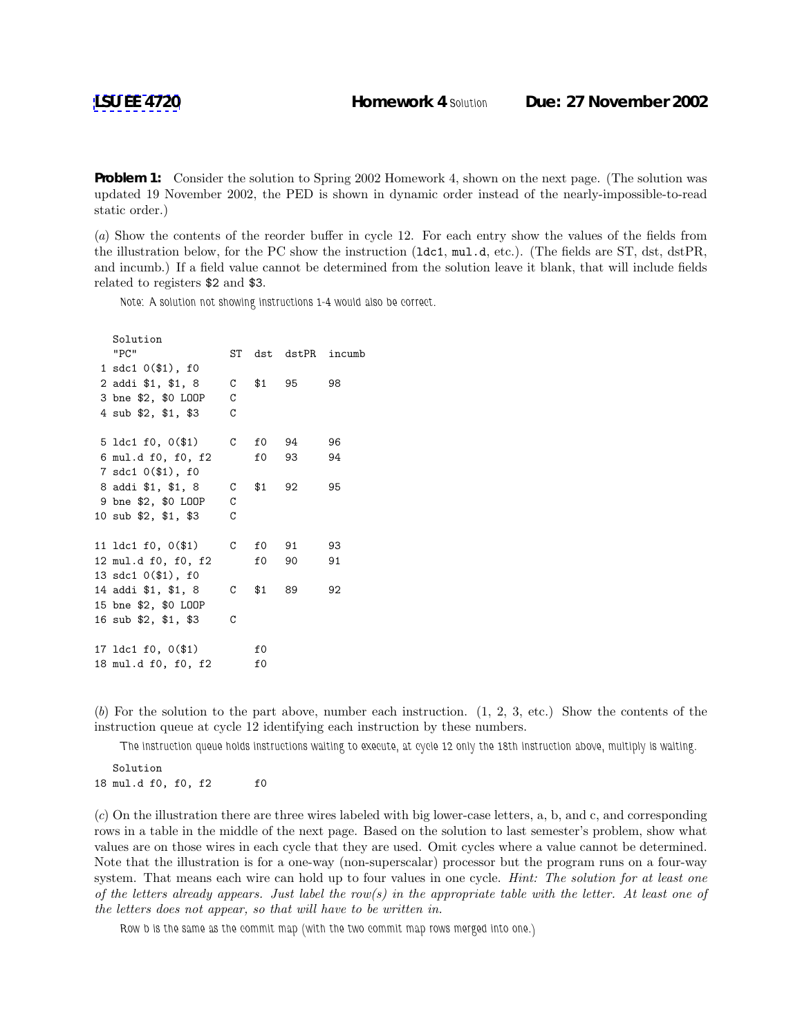**Problem 1:** Consider the solution to Spring 2002 Homework 4, shown on the next page. (The solution was updated 19 November 2002, the PED is shown in dynamic order instead of the nearly-impossible-to-read static order.)

(*a*) Show the contents of the reorder buffer in cycle 12. For each entry show the values of the fields from the illustration below, for the PC show the instruction (ldc1, mul.d, etc.). (The fields are ST, dst, dstPR, and incumb.) If a field value cannot be determined from the solution leave it blank, that will include fields related to registers \$2 and \$3.

*Note: A solution not showing instructions 1-4 would also be correct.*

| Solution<br>"PC"                           |   |            | ST dst dstPR incumb |    |
|--------------------------------------------|---|------------|---------------------|----|
| $1 \text{ sdc1 } 0(\text{$1$}), \text{f0}$ |   |            |                     |    |
| 2 addi \$1, \$1, 8                         |   | $C$ \$1 95 |                     | 98 |
| 3 bne \$2, \$0 LOOP                        | C |            |                     |    |
| 4 sub \$2, \$1, \$3                        | C |            |                     |    |
| 5 $1dc1 f0, 0(1)$                          | C | f0 94      |                     | 96 |
| 6 mul.d f0, f0, f2                         |   | f0 93      |                     | 94 |
| 7 sdc1 0(\$1), f0                          |   |            |                     |    |
| 8 addi \$1, \$1, 8                         |   | $C$ \$1 92 |                     | 95 |
| 9 bne \$2, \$0 LOOP                        | C |            |                     |    |
| 10 sub \$2, \$1, \$3                       | C |            |                     |    |
| 11 ldc1 f0, 0(\$1)                         | C | f0 91      |                     | 93 |
| 12 mul.d f0, f0, f2                        |   | f0 90      |                     | 91 |
| 13 sdc1 0(\$1), f0                         |   |            |                     |    |
| 14 addi \$1, \$1, 8                        | C | \$1        | 89                  | 92 |
| 15 bne \$2, \$0 LOOP                       |   |            |                     |    |
| 16 sub \$2, \$1, \$3                       | C |            |                     |    |
| 17 1dc1 f0, 0(\$1)                         |   | f0         |                     |    |
| 18 mul.d f0, f0, f2                        |   | f0         |                     |    |

(*b*) For the solution to the part above, number each instruction. (1, 2, 3, etc.) Show the contents of the instruction queue at cycle 12 identifying each instruction by these numbers.

*The instruction queue holds instructions waiting to execute, at cycle 12 only the 18th instruction above, multiply is waiting.*

Solution 18 mul.d f0, f0, f2 f0

(*c*) On the illustration there are three wires labeled with big lower-case letters, a, b, and c, and corresponding rows in a table in the middle of the next page. Based on the solution to last semester's problem, show what values are on those wires in each cycle that they are used. Omit cycles where a value cannot be determined. Note that the illustration is for a one-way (non-superscalar) processor but the program runs on a four-way system. That means each wire can hold up to four values in one cycle. *Hint: The solution for at least one of the letters already appears. Just label the row(s) in the appropriate table with the letter. At least one of the letters does not appear, so that will have to be written in.*

*Row b is the same as the commit map (with the two commit map rows merged into one.)*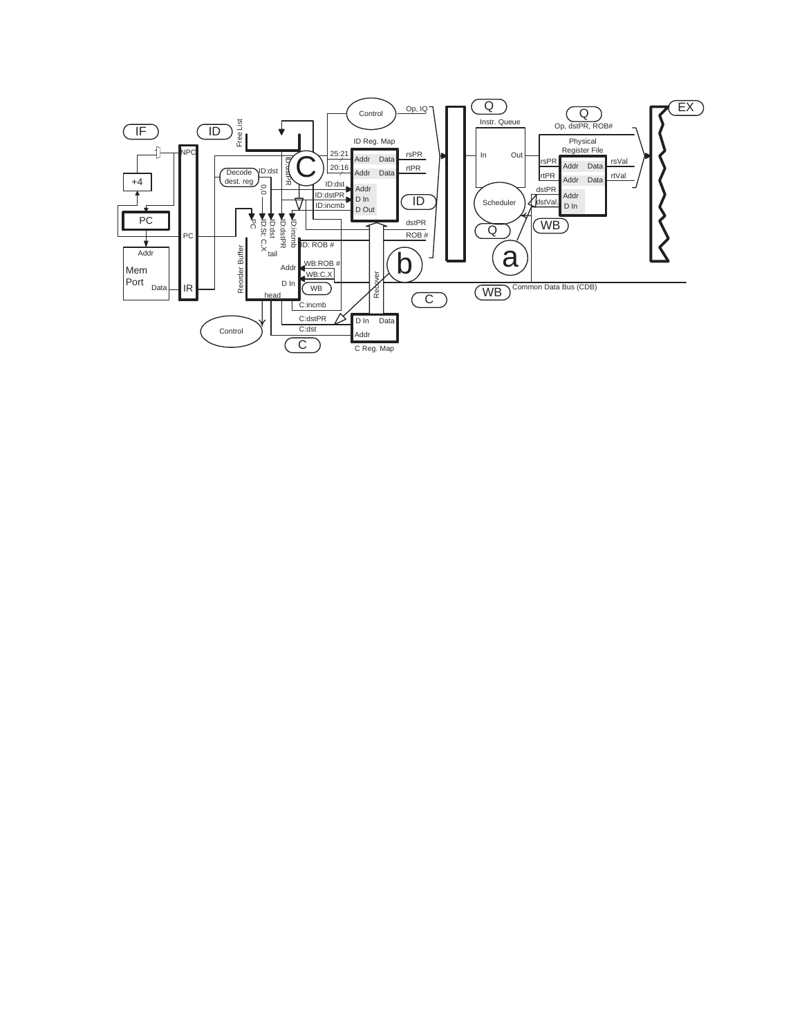